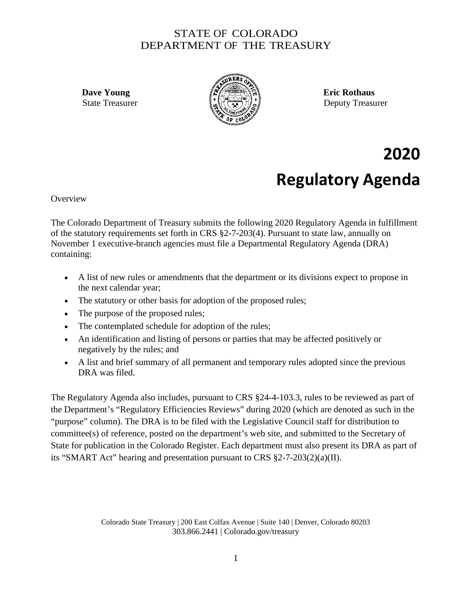## STATE OF COLORADO DEPARTMENT OF THE TREASURY



State Treasurer  $\{x_n\}$   $\{x_n\}$   $\}$ 

## **2020 Regulatory Agenda**

**Overview** 

The Colorado Department of Treasury submits the following 2020 Regulatory Agenda in fulfillment of the statutory requirements set forth in CRS §2-7-203(4). Pursuant to state law, annually on November 1 executive-branch agencies must file a Departmental Regulatory Agenda (DRA) containing:

- A list of new rules or amendments that the department or its divisions expect to propose in the next calendar year;
- The statutory or other basis for adoption of the proposed rules;
- The purpose of the proposed rules;
- The contemplated schedule for adoption of the rules;
- An identification and listing of persons or parties that may be affected positively or negatively by the rules; and
- A list and brief summary of all permanent and temporary rules adopted since the previous DRA was filed.

The Regulatory Agenda also includes, pursuant to CRS §24-4-103.3, rules to be reviewed as part of the Department's "Regulatory Efficiencies Reviews" during 2020 (which are denoted as such in the "purpose" column). The DRA is to be filed with the Legislative Council staff for distribution to committee(s) of reference, posted on the department's web site, and submitted to the Secretary of State for publication in the Colorado Register. Each department must also present its DRA as part of its "SMART Act" hearing and presentation pursuant to CRS §2-7-203(2)(a)(II).

> Colorado State Treasury | 200 East Colfax Avenue | Suite 140 | Denver, Colorado 80203 303.866.2441 | Colorado.gov/treasury